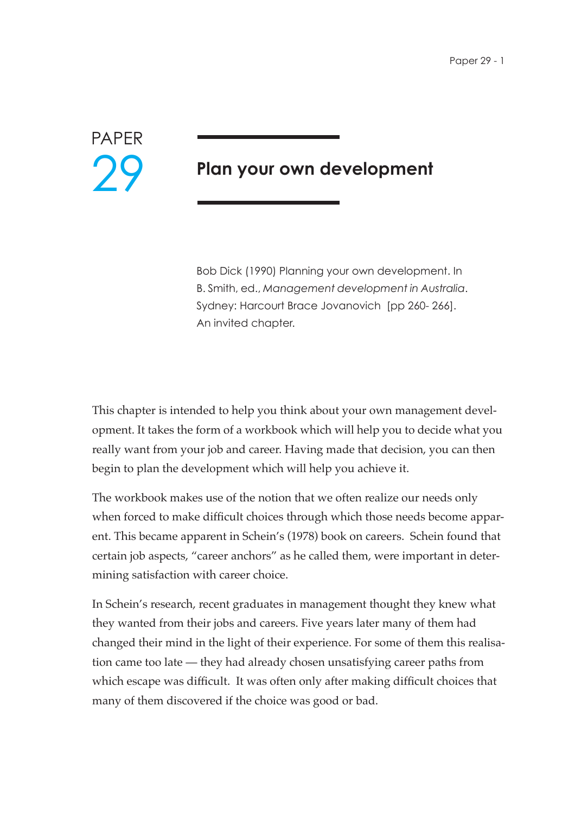# PAPER 29

# **Plan your own development**

Bob Dick (1990) Planning your own development. In B. Smith, ed., *Management development in Australia*. Sydney: Harcourt Brace Jovanovich [pp 260- 266]. An invited chapter.

This chapter is intended to help you think about your own management development. It takes the form of a workbook which will help you to decide what you really want from your job and career. Having made that decision, you can then begin to plan the development which will help you achieve it.

The workbook makes use of the notion that we often realize our needs only when forced to make difficult choices through which those needs become apparent. This became apparent in Schein's (1978) book on careers. Schein found that certain job aspects, "career anchors" as he called them, were important in determining satisfaction with career choice.

In Schein's research, recent graduates in management thought they knew what they wanted from their jobs and careers. Five years later many of them had changed their mind in the light of their experience. For some of them this realisation came too late — they had already chosen unsatisfying career paths from which escape was difficult. It was often only after making difficult choices that many of them discovered if the choice was good or bad.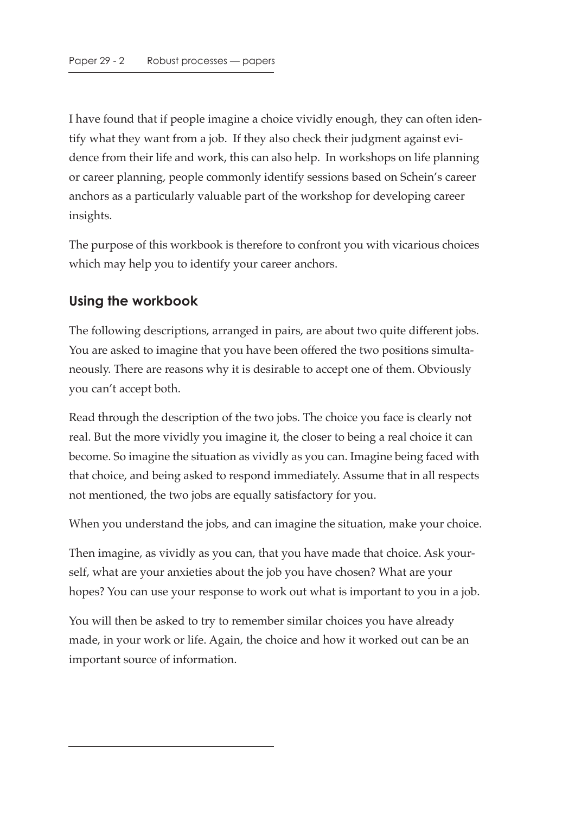I have found that if people imagine a choice vividly enough, they can often identify what they want from a job. If they also check their judgment against evidence from their life and work, this can also help. In workshops on life planning or career planning, people commonly identify sessions based on Schein's career anchors as a particularly valuable part of the workshop for developing career insights.

The purpose of this workbook is therefore to confront you with vicarious choices which may help you to identify your career anchors.

#### **Using the workbook**

The following descriptions, arranged in pairs, are about two quite different jobs. You are asked to imagine that you have been offered the two positions simultaneously. There are reasons why it is desirable to accept one of them. Obviously you can't accept both.

Read through the description of the two jobs. The choice you face is clearly not real. But the more vividly you imagine it, the closer to being a real choice it can become. So imagine the situation as vividly as you can. Imagine being faced with that choice, and being asked to respond immediately. Assume that in all respects not mentioned, the two jobs are equally satisfactory for you.

When you understand the jobs, and can imagine the situation, make your choice.

Then imagine, as vividly as you can, that you have made that choice. Ask yourself, what are your anxieties about the job you have chosen? What are your hopes? You can use your response to work out what is important to you in a job.

You will then be asked to try to remember similar choices you have already made, in your work or life. Again, the choice and how it worked out can be an important source of information.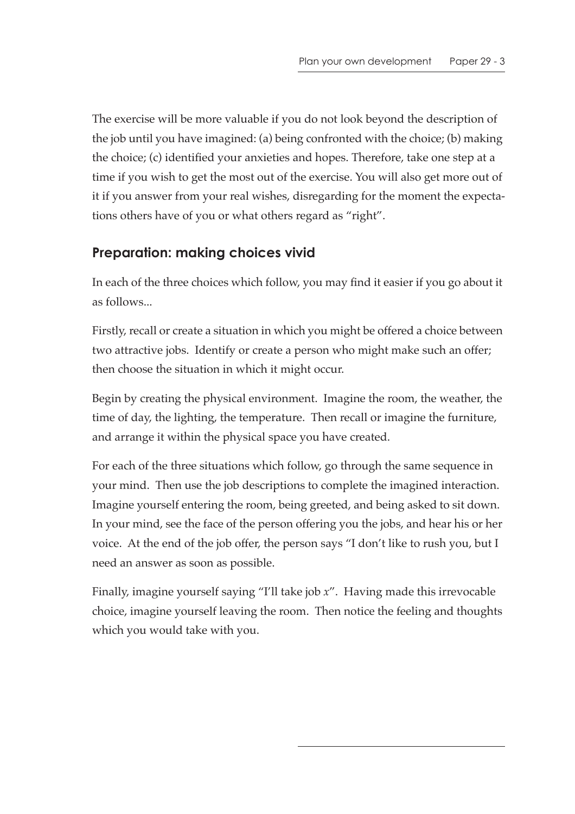The exercise will be more valuable if you do not look beyond the description of the job until you have imagined: (a) being confronted with the choice; (b) making the choice; (c) identified your anxieties and hopes. Therefore, take one step at a time if you wish to get the most out of the exercise. You will also get more out of it if you answer from your real wishes, disregarding for the moment the expectations others have of you or what others regard as "right".

# **Preparation: making choices vivid**

In each of the three choices which follow, you may find it easier if you go about it as follows...

Firstly, recall or create a situation in which you might be offered a choice between two attractive jobs. Identify or create a person who might make such an offer; then choose the situation in which it might occur.

Begin by creating the physical environment. Imagine the room, the weather, the time of day, the lighting, the temperature. Then recall or imagine the furniture, and arrange it within the physical space you have created.

For each of the three situations which follow, go through the same sequence in your mind. Then use the job descriptions to complete the imagined interaction. Imagine yourself entering the room, being greeted, and being asked to sit down. In your mind, see the face of the person offering you the jobs, and hear his or her voice. At the end of the job offer, the person says "I don't like to rush you, but I need an answer as soon as possible.

Finally, imagine yourself saying "I'll take job *x*". Having made this irrevocable choice, imagine yourself leaving the room. Then notice the feeling and thoughts which you would take with you.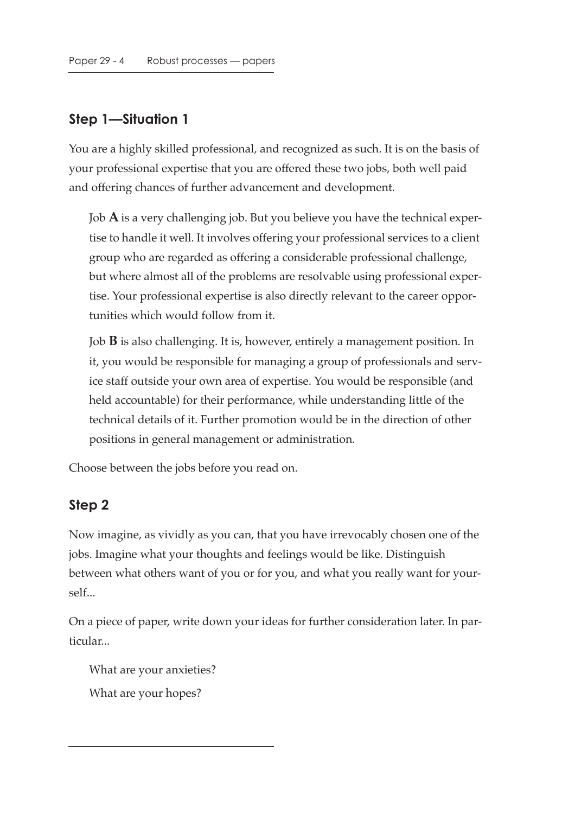#### **Step 1—Situation 1**

You are a highly skilled professional, and recognized as such. It is on the basis of your professional expertise that you are offered these two jobs, both well paid and offering chances of further advancement and development.

Job **A** is a very challenging job. But you believe you have the technical expertise to handle it well. It involves offering your professional services to a client group who are regarded as offering a considerable professional challenge, but where almost all of the problems are resolvable using professional expertise. Your professional expertise is also directly relevant to the career opportunities which would follow from it.

Job **B** is also challenging. It is, however, entirely a management position. In it, you would be responsible for managing a group of professionals and service staff outside your own area of expertise. You would be responsible (and held accountable) for their performance, while understanding little of the technical details of it. Further promotion would be in the direction of other positions in general management or administration.

Choose between the jobs before you read on.

#### **Step 2**

Now imagine, as vividly as you can, that you have irrevocably chosen one of the jobs. Imagine what your thoughts and feelings would be like. Distinguish between what others want of you or for you, and what you really want for yourself...

On a piece of paper, write down your ideas for further consideration later. In particular...

What are your anxieties? What are your hopes?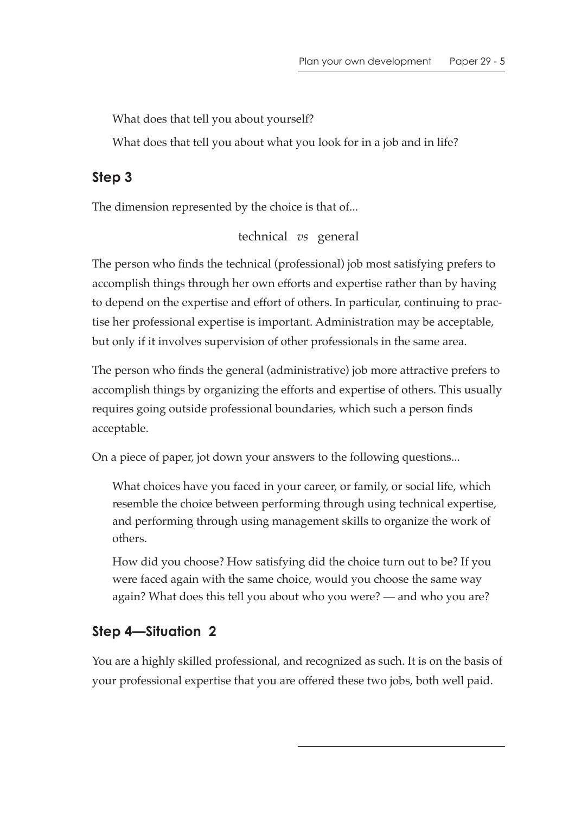What does that tell you about yourself?

What does that tell you about what you look for in a job and in life?

# **Step 3**

The dimension represented by the choice is that of...

technical *vs* general

The person who finds the technical (professional) job most satisfying prefers to accomplish things through her own efforts and expertise rather than by having to depend on the expertise and effort of others. In particular, continuing to practise her professional expertise is important. Administration may be acceptable, but only if it involves supervision of other professionals in the same area.

The person who finds the general (administrative) job more attractive prefers to accomplish things by organizing the efforts and expertise of others. This usually requires going outside professional boundaries, which such a person finds acceptable.

On a piece of paper, jot down your answers to the following questions...

What choices have you faced in your career, or family, or social life, which resemble the choice between performing through using technical expertise, and performing through using management skills to organize the work of others.

How did you choose? How satisfying did the choice turn out to be? If you were faced again with the same choice, would you choose the same way again? What does this tell you about who you were? — and who you are?

# **Step 4—Situation 2**

You are a highly skilled professional, and recognized as such. It is on the basis of your professional expertise that you are offered these two jobs, both well paid.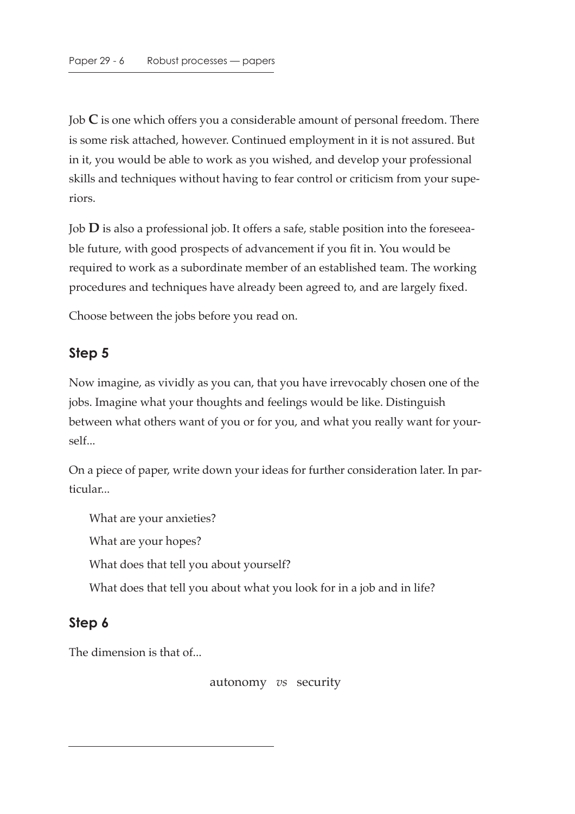Job **C** is one which offers you a considerable amount of personal freedom. There is some risk attached, however. Continued employment in it is not assured. But in it, you would be able to work as you wished, and develop your professional skills and techniques without having to fear control or criticism from your superiors.

Job **D** is also a professional job. It offers a safe, stable position into the foreseeable future, with good prospects of advancement if you fit in. You would be required to work as a subordinate member of an established team. The working procedures and techniques have already been agreed to, and are largely fixed.

Choose between the jobs before you read on.

#### **Step 5**

Now imagine, as vividly as you can, that you have irrevocably chosen one of the jobs. Imagine what your thoughts and feelings would be like. Distinguish between what others want of you or for you, and what you really want for yourself...

On a piece of paper, write down your ideas for further consideration later. In particular...

What are your anxieties?

What are your hopes?

What does that tell you about yourself?

What does that tell you about what you look for in a job and in life?

#### **Step 6**

The dimension is that of...

autonomy *vs* security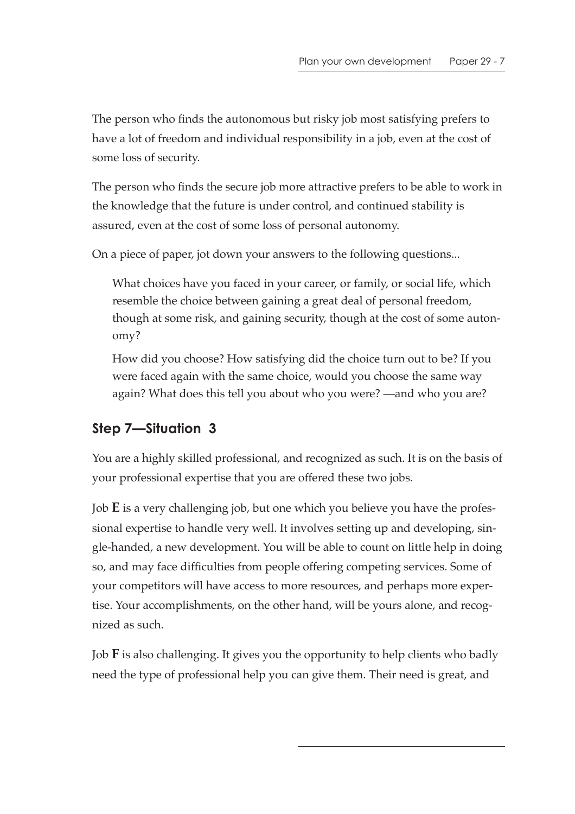The person who finds the autonomous but risky job most satisfying prefers to have a lot of freedom and individual responsibility in a job, even at the cost of some loss of security.

The person who finds the secure job more attractive prefers to be able to work in the knowledge that the future is under control, and continued stability is assured, even at the cost of some loss of personal autonomy.

On a piece of paper, jot down your answers to the following questions...

What choices have you faced in your career, or family, or social life, which resemble the choice between gaining a great deal of personal freedom, though at some risk, and gaining security, though at the cost of some autonomy?

How did you choose? How satisfying did the choice turn out to be? If you were faced again with the same choice, would you choose the same way again? What does this tell you about who you were? —and who you are?

# **Step 7—Situation 3**

You are a highly skilled professional, and recognized as such. It is on the basis of your professional expertise that you are offered these two jobs.

Job **E** is a very challenging job, but one which you believe you have the professional expertise to handle very well. It involves setting up and developing, single-handed, a new development. You will be able to count on little help in doing so, and may face difficulties from people offering competing services. Some of your competitors will have access to more resources, and perhaps more expertise. Your accomplishments, on the other hand, will be yours alone, and recognized as such.

Job **F** is also challenging. It gives you the opportunity to help clients who badly need the type of professional help you can give them. Their need is great, and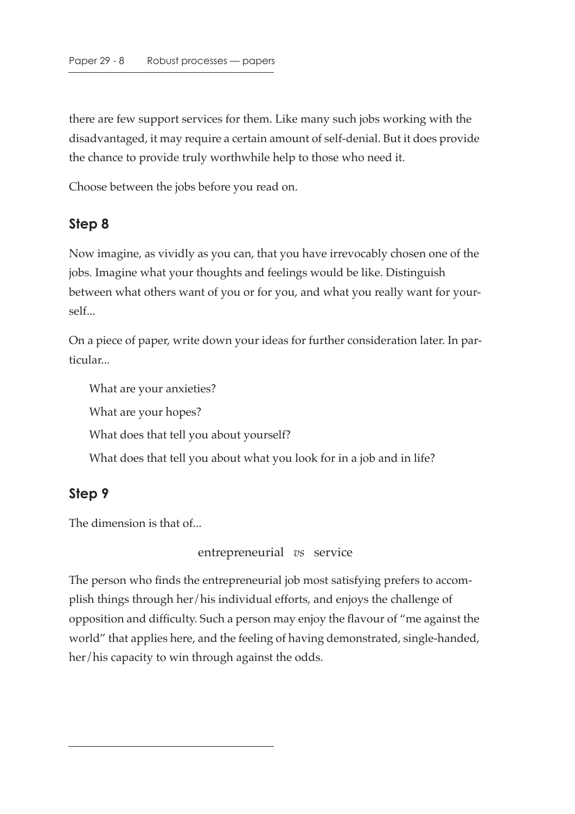there are few support services for them. Like many such jobs working with the disadvantaged, it may require a certain amount of self-denial. But it does provide the chance to provide truly worthwhile help to those who need it.

Choose between the jobs before you read on.

#### **Step 8**

Now imagine, as vividly as you can, that you have irrevocably chosen one of the jobs. Imagine what your thoughts and feelings would be like. Distinguish between what others want of you or for you, and what you really want for yourself...

On a piece of paper, write down your ideas for further consideration later. In particular...

What are your anxieties? What are your hopes? What does that tell you about yourself? What does that tell you about what you look for in a job and in life?

# **Step 9**

The dimension is that of...

entrepreneurial *vs* service

The person who finds the entrepreneurial job most satisfying prefers to accomplish things through her/his individual efforts, and enjoys the challenge of opposition and difficulty. Such a person may enjoy the flavour of "me against the world" that applies here, and the feeling of having demonstrated, single-handed, her/his capacity to win through against the odds.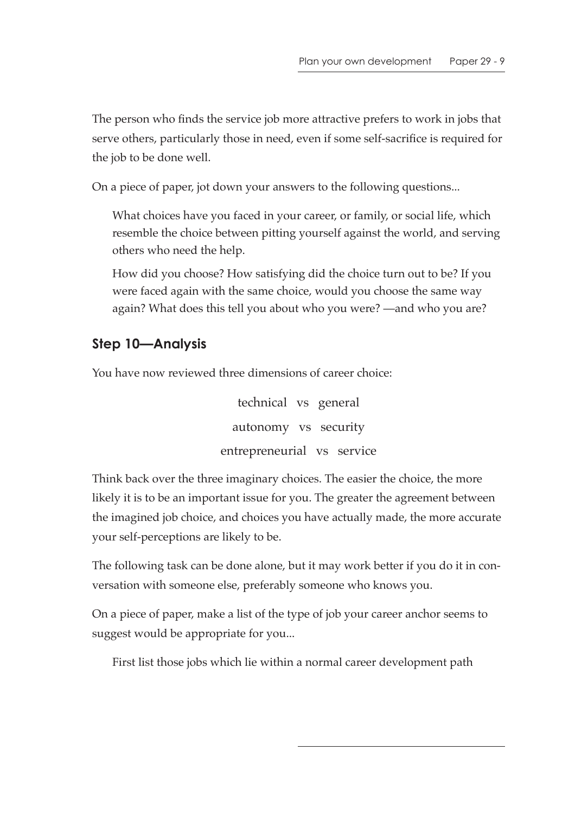The person who finds the service job more attractive prefers to work in jobs that serve others, particularly those in need, even if some self-sacrifice is required for the job to be done well.

On a piece of paper, jot down your answers to the following questions...

What choices have you faced in your career, or family, or social life, which resemble the choice between pitting yourself against the world, and serving others who need the help.

How did you choose? How satisfying did the choice turn out to be? If you were faced again with the same choice, would you choose the same way again? What does this tell you about who you were? —and who you are?

# **Step 10—Analysis**

You have now reviewed three dimensions of career choice:

technical vs general autonomy vs security entrepreneurial vs service

Think back over the three imaginary choices. The easier the choice, the more likely it is to be an important issue for you. The greater the agreement between the imagined job choice, and choices you have actually made, the more accurate your self-perceptions are likely to be.

The following task can be done alone, but it may work better if you do it in conversation with someone else, preferably someone who knows you.

On a piece of paper, make a list of the type of job your career anchor seems to suggest would be appropriate for you...

First list those jobs which lie within a normal career development path